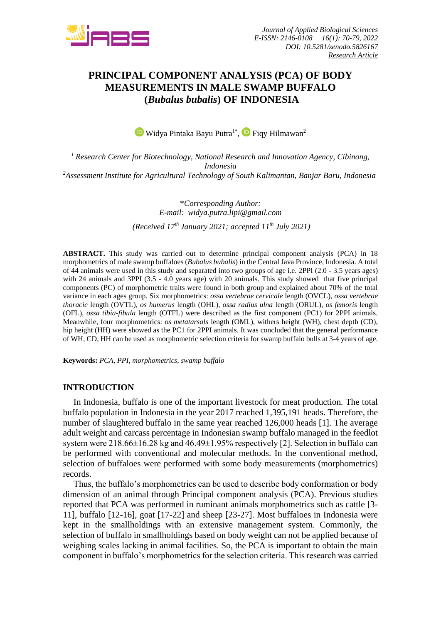

# **PRINCIPAL COMPONENT ANALYSIS (PCA) OF BODY MEASUREMENTS IN MALE SWAMP BUFFALO (***Bubalus bubalis***) OF INDONESIA**

WidyaPintaka Bayu Putra<sup>1\*</sup>, <sup>(D</sup> Fiqy Hilmawan<sup>2</sup>

*<sup>1</sup> Research Center for Biotechnology, National Research and Innovation Agency, Cibinong, Indonesia <sup>2</sup>Assessment Institute for Agricultural Technology of South Kalimantan, Banjar Baru, Indonesia*

> \**Corresponding Author: E-mail: widya.putra.lipi@gmail.com (Received 17th January 2021; accepted 11th July 2021)*

**ABSTRACT.** This study was carried out to determine principal component analysis (PCA) in 18 morphometrics of male swamp buffaloes (*Bubalus bubalis*) in the Central Java Province, Indonesia. A total of 44 animals were used in this study and separated into two groups of age i.e. 2PPI (2.0 - 3.5 years ages) with 24 animals and 3PPI (3.5 - 4.0 years age) with 20 animals. This study showed that five principal components (PC) of morphometric traits were found in both group and explained about 70% of the total variance in each ages group. Six morphometrics: *ossa vertebrae cervicale* length (OVCL), *ossa vertebrae thoracic* length (OVTL), *os humerus* length (OHL), *ossa radius ulna* length (ORUL), *os femoris* length (OFL), *ossa tibia-fibula* length (OTFL) were described as the first component (PC1) for 2PPI animals. Meanwhile, four morphometrics: *os metatarsals* length (OML), withers height (WH), chest depth (CD), hip height (HH) were showed as the PC1 for 2PPI animals. It was concluded that the general performance of WH, CD, HH can be used as morphometric selection criteria for swamp buffalo bulls at 3-4 years of age.

**Keywords:** *PCA, PPI, morphometrics, swamp buffalo*

#### **INTRODUCTION**

In Indonesia, buffalo is one of the important livestock for meat production. The total buffalo population in Indonesia in the year 2017 reached 1,395,191 heads. Therefore, the number of slaughtered buffalo in the same year reached 126,000 heads [1]. The average adult weight and carcass percentage in Indonesian swamp buffalo managed in the feedlot system were 218.66±16.28 kg and 46.49±1.95% respectively [2]. Selection in buffalo can be performed with conventional and molecular methods. In the conventional method, selection of buffaloes were performed with some body measurements (morphometrics) records.

Thus, the buffalo's morphometrics can be used to describe body conformation or body dimension of an animal through Principal component analysis (PCA). Previous studies reported that PCA was performed in ruminant animals morphometrics such as cattle [3- 11], buffalo [12-16], goat [17-22] and sheep [23-27]. Most buffaloes in Indonesia were kept in the smallholdings with an extensive management system. Commonly, the selection of buffalo in smallholdings based on body weight can not be applied because of weighing scales lacking in animal facilities. So, the PCA is important to obtain the main component in buffalo's morphometrics for the selection criteria. This research was carried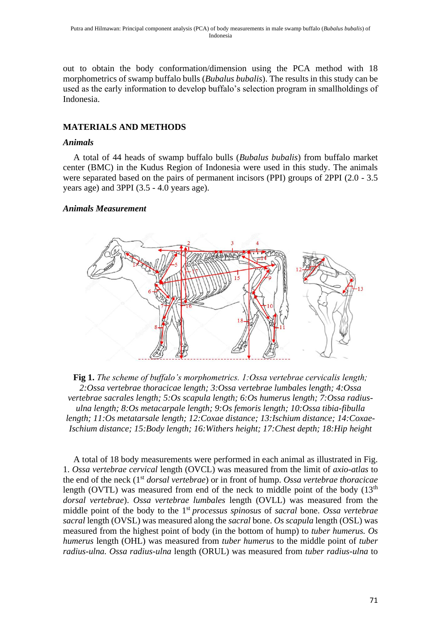out to obtain the body conformation/dimension using the PCA method with 18 morphometrics of swamp buffalo bulls (*Bubalus bubalis*). The results in this study can be used as the early information to develop buffalo's selection program in smallholdings of Indonesia.

## **MATERIALS AND METHODS**

#### *Animals*

A total of 44 heads of swamp buffalo bulls (*Bubalus bubalis*) from buffalo market center (BMC) in the Kudus Region of Indonesia were used in this study. The animals were separated based on the pairs of permanent incisors (PPI) groups of 2PPI (2.0 - 3.5 years age) and 3PPI (3.5 - 4.0 years age).

## *Animals Measurement*



**Fig 1.** *The scheme of buffalo's morphometrics. 1:Ossa vertebrae cervicalis length; 2:Ossa vertebrae thoracicae length; 3:Ossa vertebrae lumbales length; 4:Ossa vertebrae sacrales length; 5:Os scapula length; 6:Os humerus length; 7:Ossa radiusulna length; 8:Os metacarpale length; 9:Os femoris length; 10:Ossa tibia-fibulla length; 11:Os metatarsale length; 12:Coxae distance; 13:Ischium distance; 14:Coxae-Ischium distance; 15:Body length; 16:Withers height; 17:Chest depth; 18:Hip height*

A total of 18 body measurements were performed in each animal as illustrated in Fig. 1. *Ossa vertebrae cervical* length (OVCL) was measured from the limit of *axio*-*atlas* to the end of the neck (1st *dorsal vertebrae*) or in front of hump. *Ossa vertebrae thoracicae* length (OVTL) was measured from end of the neck to middle point of the body  $(13<sup>th</sup>$ *dorsal vertebrae*). *Ossa vertebrae lumbales* length (OVLL) was measured from the middle point of the body to the 1st *processus spinosus* of *sacral* bone. *Ossa vertebrae sacral* length (OVSL) was measured along the *sacral* bone. *Os scapula* length (OSL) was measured from the highest point of body (in the bottom of hump) to *tuber humerus. Os humerus* length (OHL) was measured from *tuber humerus* to the middle point of *tuber radius-ulna. Ossa radius-ulna* length (ORUL) was measured from *tuber radius-ulna* to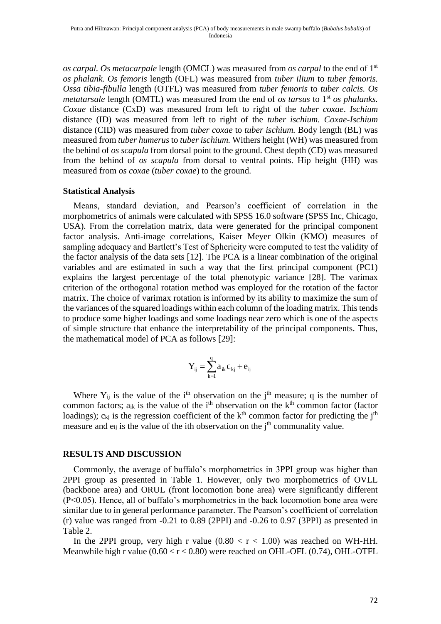*os carpal. Os metacarpale* length (OMCL) was measured from *os carpal* to the end of 1st *os phalank. Os femoris* length (OFL) was measured from *tuber ilium* to *tuber femoris. Ossa tibia-fibulla* length (OTFL) was measured from *tuber femoris* to *tuber calcis. Os metatarsale* length (OMTL) was measured from the end of *os tarsus* to 1<sup>st</sup> *os phalanks. Coxae* distance (CxD) was measured from left to right of the *tuber coxae*. *Ischium* distance (ID) was measured from left to right of the *tuber ischium. Coxae-Ischium*  distance (CID) was measured from *tuber coxae* to *tuber ischium.* Body length (BL) was measured from *tuber humerus* to *tuber ischium.* Withers height (WH) was measured from the behind of *os scapula* from dorsal point to the ground. Chest depth (CD) was measured from the behind of *os scapula* from dorsal to ventral points. Hip height (HH) was measured from *os coxae* (*tuber coxae*) to the ground.

#### **Statistical Analysis**

Means, standard deviation, and Pearson's coefficient of correlation in the morphometrics of animals were calculated with SPSS 16.0 software (SPSS Inc, Chicago, USA). From the correlation matrix, data were generated for the principal component factor analysis. Anti-image correlations, Kaiser Meyer Olkin (KMO) measures of sampling adequacy and Bartlett's Test of Sphericity were computed to test the validity of the factor analysis of the data sets [12]. The PCA is a linear combination of the original variables and are estimated in such a way that the first principal component (PC1) explains the largest percentage of the total phenotypic variance [28]. The varimax criterion of the orthogonal rotation method was employed for the rotation of the factor matrix. The choice of varimax rotation is informed by its ability to maximize the sum of the variances of the squared loadings within each column of the loading matrix. This tends to produce some higher loadings and some loadings near zero which is one of the aspects of simple structure that enhance the interpretability of the principal components. Thus, the mathematical model of PCA as follows [29]:

$$
Y_{_{ij}}=\sum_{\scriptscriptstyle k=1}^q a_{_{ik}}c_{_{kj}}+e_{_{ij}}
$$

Where  $Y_{ij}$  is the value of the i<sup>th</sup> observation on the j<sup>th</sup> measure; q is the number of common factors;  $a_{ik}$  is the value of the i<sup>th</sup> observation on the  $k<sup>th</sup>$  common factor (factor loadings);  $c_{kj}$  is the regression coefficient of the  $k<sup>th</sup>$  common factor for predicting the j<sup>th</sup> measure and  $e_{ii}$  is the value of the ith observation on the  $i<sup>th</sup>$  communality value.

#### **RESULTS AND DISCUSSION**

Commonly, the average of buffalo's morphometrics in 3PPI group was higher than 2PPI group as presented in Table 1. However, only two morphometrics of OVLL (backbone area) and ORUL (front locomotion bone area) were significantly different (P<0.05). Hence, all of buffalo's morphometrics in the back locomotion bone area were similar due to in general performance parameter. The Pearson's coefficient of correlation (r) value was ranged from -0.21 to 0.89 (2PPI) and -0.26 to 0.97 (3PPI) as presented in Table 2.

In the 2PPI group, very high r value  $(0.80 < r < 1.00)$  was reached on WH-HH. Meanwhile high r value  $(0.60 < r < 0.80)$  were reached on OHL-OFL  $(0.74)$ , OHL-OTFL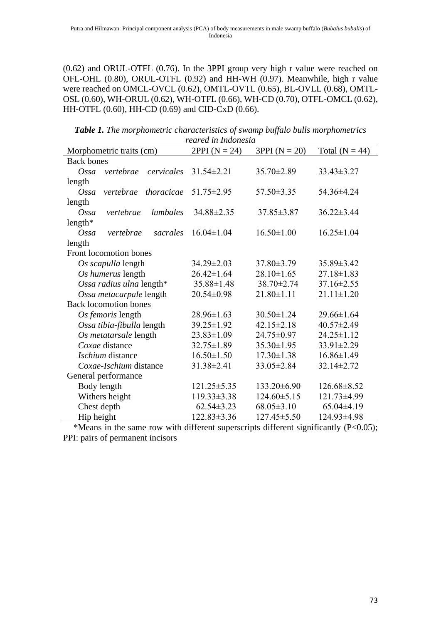(0.62) and ORUL-OTFL (0.76). In the 3PPI group very high r value were reached on OFL-OHL (0.80), ORUL-OTFL (0.92) and HH-WH (0.97). Meanwhile, high r value were reached on OMCL-OVCL (0.62), OMTL-OVTL (0.65), BL-OVLL (0.68), OMTL-OSL (0.60), WH-ORUL (0.62), WH-OTFL (0.66), WH-CD (0.70), OTFL-OMCL (0.62), HH-OTFL (0.60), HH-CD (0.69) and CID-CxD (0.66).

*Table 1. The morphometric characteristics of swamp buffalo bulls morphometrics reared in Indonesia*

| Morphometric traits (cm)         | $2PPI (N = 24)$   | $3PPI (N = 20)$   | Total ( $N = 44$ ) |
|----------------------------------|-------------------|-------------------|--------------------|
| <b>Back bones</b>                |                   |                   |                    |
| vertebrae<br>cervicales<br>Ossa  | $31.54 \pm 2.21$  | 35.70±2.89        | $33.43 \pm 3.27$   |
| length                           |                   |                   |                    |
| Ossa<br>thoracicae<br>vertebrae  | $51.75 \pm 2.95$  | $57.50 \pm 3.35$  | 54.36±4.24         |
| length                           |                   |                   |                    |
| lumbales<br>$O$ ssa<br>vertebrae | 34.88±2.35        | 37.85±3.87        | $36.22 \pm 3.44$   |
| length*                          |                   |                   |                    |
| $O$ ssa<br>sacrales<br>vertebrae | $16.04 \pm 1.04$  | $16.50 \pm 1.00$  | $16.25 \pm 1.04$   |
| length                           |                   |                   |                    |
| Front locomotion bones           |                   |                   |                    |
| Os scapulla length               | $34.29 \pm 2.03$  | $37.80 \pm 3.79$  | $35.89 \pm 3.42$   |
| Os humerus length                | $26.42 \pm 1.64$  | $28.10 \pm 1.65$  | $27.18 \pm 1.83$   |
| Ossa radius ulna length*         | $35.88 \pm 1.48$  | 38.70±2.74        | $37.16 \pm 2.55$   |
| Ossa metacarpale length          | $20.54 \pm 0.98$  | $21.80 \pm 1.11$  | $21.11 \pm 1.20$   |
| <b>Back locomotion bones</b>     |                   |                   |                    |
| Os femoris length                | $28.96 \pm 1.63$  | $30.50 \pm 1.24$  | $29.66 \pm 1.64$   |
| Ossa tibia-fibulla length        | 39.25±1.92        | $42.15 \pm 2.18$  | $40.57 \pm 2.49$   |
| Os metatarsale length            | $23.83 \pm 1.09$  | 24.75±0.97        | $24.25 \pm 1.12$   |
| Coxae distance                   | $32.75 \pm 1.89$  | $35.30 \pm 1.95$  | 33.91±2.29         |
| Ischium distance                 | $16.50 \pm 1.50$  | $17.30 \pm 1.38$  | $16.86 \pm 1.49$   |
| Coxae-Ischium distance           | 31.38±2.41        | 33.05±2.84        | 32.14±2.72         |
| General performance              |                   |                   |                    |
| Body length                      | $121.25 \pm 5.35$ | 133.20±6.90       | $126.68 \pm 8.52$  |
| Withers height                   | $119.33 \pm 3.38$ | $124.60 \pm 5.15$ | 121.73±4.99        |
| Chest depth                      | $62.54 \pm 3.23$  | $68.05 \pm 3.10$  | 65.04±4.19         |
| Hip height                       | $122.83 \pm 3.36$ | 127.45±5.50       | 124.93±4.98        |

\*Means in the same row with different superscripts different significantly  $(P<0.05)$ ; PPI: pairs of permanent incisors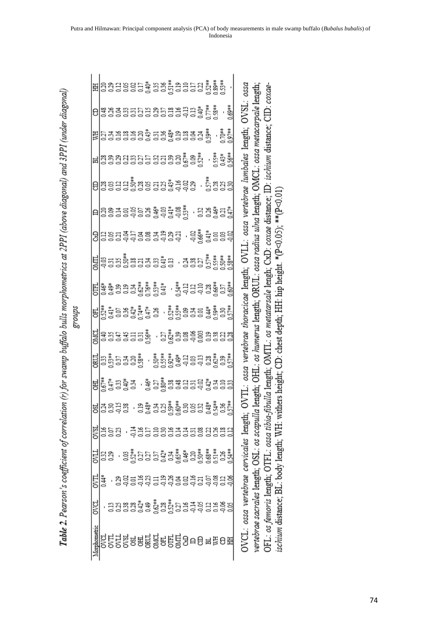|        |              | ⊞ 물물 물을 물을 물을 물을 물을 벌 수 없습니다.                                      |          |  |  |                                              |  |  |  |  |  | pssa                                                                    |                                                                                      |                                                                        |
|--------|--------------|--------------------------------------------------------------------|----------|--|--|----------------------------------------------|--|--|--|--|--|-------------------------------------------------------------------------|--------------------------------------------------------------------------------------|------------------------------------------------------------------------|
|        |              | $\mathsf{e}$ ន្ទ្រីន្ទន្ទន្ទន្ទន្ទន្ទន្ទ្រីខ្ញុំនូ $\mathsf{e}$ ូទ |          |  |  |                                              |  |  |  |  |  | OVSL:                                                                   |                                                                                      | $CD: co ce$                                                            |
|        |              | $\mathbb{E}$ 33333333333333 $\frac{1}{3}$ , $\frac{1}{5}$ ,        |          |  |  |                                              |  |  |  |  |  |                                                                         |                                                                                      |                                                                        |
|        |              |                                                                    |          |  |  |                                              |  |  |  |  |  |                                                                         |                                                                                      |                                                                        |
|        |              | $\bm{\theta}$ lasaasasaastaas $\cdot$ saas                         |          |  |  |                                              |  |  |  |  |  | ossa vertebrae thoracicae length; OVLL: ossa vertebrae lumbales length; | OHL: os humerus length; ORUL: ossa radius ulna length; OMCL: ossa metacarpale length | OMTL: os metatarsale lengh; CxD: coxae distance; ID: ischium distance; |
|        |              | $\mathsf{e}$   3933933\$93#8#  · 33\$33#                           |          |  |  |                                              |  |  |  |  |  |                                                                         |                                                                                      |                                                                        |
|        |              | 8 금융급효능 음료 등급 등급 등급 등급 등                                           |          |  |  |                                              |  |  |  |  |  |                                                                         |                                                                                      |                                                                        |
|        |              | <u>ដ្ឋទ្រុទទទួនមិនទូនដូច និងមន្ត្រី និង</u>                        |          |  |  |                                              |  |  |  |  |  |                                                                         |                                                                                      |                                                                        |
|        |              |                                                                    |          |  |  |                                              |  |  |  |  |  |                                                                         |                                                                                      |                                                                        |
| groups |              |                                                                    |          |  |  |                                              |  |  |  |  |  |                                                                         |                                                                                      |                                                                        |
|        |              | <u>ដ្ឋទ្រុទ្ធអ្នកនិង្គី , ខ្ញុំផ្ទីន្ធទំនិទ្ធន្នន្ទី ន</u>         |          |  |  |                                              |  |  |  |  |  |                                                                         |                                                                                      |                                                                        |
|        |              |                                                                    |          |  |  |                                              |  |  |  |  |  |                                                                         |                                                                                      |                                                                        |
|        |              | 법 <mark>통 등</mark> 음호 - 홍 담 <sub>종</sub> 음종 등 등 등 출 출 금 등 등        |          |  |  |                                              |  |  |  |  |  |                                                                         |                                                                                      |                                                                        |
|        | g            |                                                                    | ន្ទីដីឌី |  |  | . មិន្ទំ ទីងង្គឹង្គំទីនីនីមីនី និង្គី និង្គី |  |  |  |  |  |                                                                         |                                                                                      |                                                                        |
|        | OVSI         |                                                                    | ដូនដូ    |  |  | . इंडेडेडेडेडेडेडेडेडेडेडेडेड                |  |  |  |  |  |                                                                         |                                                                                      |                                                                        |
|        | <b>LI</b> NO |                                                                    | នីទី     |  |  |                                              |  |  |  |  |  |                                                                         |                                                                                      |                                                                        |
|        | 521          | नै                                                                 |          |  |  | 영흥음승승금승승음음슬음승승음승                             |  |  |  |  |  |                                                                         |                                                                                      |                                                                        |
|        | ova          |                                                                    |          |  |  | <u>ម្នងន្ធន្នដំនូងដូន ម្នងទីន្នមន្តន</u> ្   |  |  |  |  |  |                                                                         |                                                                                      |                                                                        |
|        | Morphometric |                                                                    |          |  |  |                                              |  |  |  |  |  | OVCL: ossa vertebrae cervicales length; O                               | vertebrae sacrales length; OSL: os scapulla length;                                  | OFL: <i>os femoris</i> length; OTFL: <i>ossa tibia-fibulla</i> length; |

ischium distance; BL: body length; WH: withers height; CD: chest depth; HH: hip height. \*(P<0.05); \*\*(P<0.01)

Table 2. Pearson's coefficient of correlation (r) for swamp buffalo bulls morphometrics at 2PPI (above diagonal) and 3PPI (under diagonal)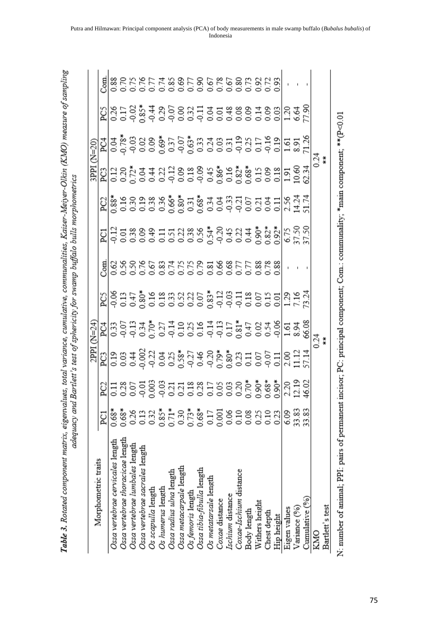|                                                                                                                                                                                                                                                                                                                                                                               |                     |  |                                                                                                                   |  |                                    |                                                                                                                                           | 3PPI |  |  |
|-------------------------------------------------------------------------------------------------------------------------------------------------------------------------------------------------------------------------------------------------------------------------------------------------------------------------------------------------------------------------------|---------------------|--|-------------------------------------------------------------------------------------------------------------------|--|------------------------------------|-------------------------------------------------------------------------------------------------------------------------------------------|------|--|--|
| Morphometric traits                                                                                                                                                                                                                                                                                                                                                           | E                   |  | နာပြီး ၁၉၁ ခုနှစ် အမ် ၁၉၁ ခုနှစ် ၁၉၁ ခုနှစ် ၁၉၁ ခုနှစ်<br>မြို့ရာ ၁၉၁ ခုနှစ် အမ် ၁၉၁ ခုနှစ် ၁၉၁ ခုနှစ် ၁၉၁ ခုနှစ် |  |                                    |                                                                                                                                           |      |  |  |
| Ossa vertebrae cervicales length                                                                                                                                                                                                                                                                                                                                              | $0.68*$             |  |                                                                                                                   |  | <mark>되</mark> 목흥쯩용품동영용총총용용품총총,이동정 | <u>입່ ಜ</u> ្លួំ មិនទីនូ ខ្ញុំ និង ខ្ញុំ ដូច មិនទី ដូច មិន មិន មាន ដូច<br>ត្តិ ដូច មិន មិន ខ្ញុំ និង ខ្ញុំ និង ខ្ញុំ មិន មិន មិន មាន អ្នក |      |  |  |
| Ossa vertebrae thoracicae length                                                                                                                                                                                                                                                                                                                                              | 89`(                |  |                                                                                                                   |  |                                    |                                                                                                                                           |      |  |  |
| Ossa vertebrae lumbales length                                                                                                                                                                                                                                                                                                                                                | 0.26                |  |                                                                                                                   |  |                                    |                                                                                                                                           |      |  |  |
| Ossa vertebrae sacrales l <del>e</del> ngth                                                                                                                                                                                                                                                                                                                                   | 0.13                |  |                                                                                                                   |  |                                    |                                                                                                                                           |      |  |  |
| Os scapulla length                                                                                                                                                                                                                                                                                                                                                            |                     |  |                                                                                                                   |  |                                    |                                                                                                                                           |      |  |  |
| Os humerus length                                                                                                                                                                                                                                                                                                                                                             | $0.85*$             |  |                                                                                                                   |  |                                    |                                                                                                                                           |      |  |  |
| Ossa radius ulna length                                                                                                                                                                                                                                                                                                                                                       | $0.71*$             |  |                                                                                                                   |  |                                    |                                                                                                                                           |      |  |  |
| Ossa metacarpale l <del>e</del> ngth                                                                                                                                                                                                                                                                                                                                          |                     |  |                                                                                                                   |  |                                    |                                                                                                                                           |      |  |  |
| Os femoris length                                                                                                                                                                                                                                                                                                                                                             | $0.73*$             |  |                                                                                                                   |  |                                    |                                                                                                                                           |      |  |  |
| Ossa tibia-fibulla length                                                                                                                                                                                                                                                                                                                                                     | $0.68*$             |  |                                                                                                                   |  |                                    |                                                                                                                                           |      |  |  |
| Os metatarsale length                                                                                                                                                                                                                                                                                                                                                         | $0.17\,$            |  |                                                                                                                   |  |                                    |                                                                                                                                           |      |  |  |
| Coxae distance                                                                                                                                                                                                                                                                                                                                                                | 0.001               |  |                                                                                                                   |  |                                    |                                                                                                                                           |      |  |  |
| Ischium distance                                                                                                                                                                                                                                                                                                                                                              |                     |  |                                                                                                                   |  |                                    |                                                                                                                                           |      |  |  |
| Coxae-Ischium distance                                                                                                                                                                                                                                                                                                                                                        |                     |  |                                                                                                                   |  |                                    |                                                                                                                                           |      |  |  |
| Body length                                                                                                                                                                                                                                                                                                                                                                   | 850<br>0.10<br>0.00 |  |                                                                                                                   |  |                                    |                                                                                                                                           |      |  |  |
| Withers height                                                                                                                                                                                                                                                                                                                                                                | $0.25$<br>$0.10$    |  |                                                                                                                   |  |                                    |                                                                                                                                           |      |  |  |
| Chest depth                                                                                                                                                                                                                                                                                                                                                                   |                     |  |                                                                                                                   |  |                                    |                                                                                                                                           |      |  |  |
| Hip height                                                                                                                                                                                                                                                                                                                                                                    | 0.23                |  |                                                                                                                   |  |                                    |                                                                                                                                           |      |  |  |
| Eigen values                                                                                                                                                                                                                                                                                                                                                                  | 6.09                |  |                                                                                                                   |  |                                    |                                                                                                                                           |      |  |  |
| Variance (%)                                                                                                                                                                                                                                                                                                                                                                  | 33.83               |  |                                                                                                                   |  |                                    |                                                                                                                                           |      |  |  |
| Cumulative (%)                                                                                                                                                                                                                                                                                                                                                                | 33.83               |  |                                                                                                                   |  |                                    |                                                                                                                                           |      |  |  |
| KMO                                                                                                                                                                                                                                                                                                                                                                           |                     |  |                                                                                                                   |  |                                    |                                                                                                                                           |      |  |  |
| Bartlett's test                                                                                                                                                                                                                                                                                                                                                               |                     |  |                                                                                                                   |  |                                    |                                                                                                                                           |      |  |  |
| $\mathcal{L}$ $\mathcal{L}$ $\mathcal{L}$ $\mathcal{L}$ $\mathcal{L}$ $\mathcal{L}$ $\mathcal{L}$ $\mathcal{L}$ $\mathcal{L}$ $\mathcal{L}$ $\mathcal{L}$ $\mathcal{L}$ $\mathcal{L}$ $\mathcal{L}$ $\mathcal{L}$ $\mathcal{L}$ $\mathcal{L}$ $\mathcal{L}$ $\mathcal{L}$ $\mathcal{L}$ $\mathcal{L}$ $\mathcal{L}$ $\mathcal{L}$ $\mathcal{L}$ $\mathcal{$<br>$\overline{a}$ |                     |  |                                                                                                                   |  |                                    |                                                                                                                                           |      |  |  |

Table 3. Rotated component matrix, eigenvalues, total variance, cumulative, communalities, Kaiser-Meiyer-Olkin (KMO) measure of sampling

N: number of animal; PPI: pairs of permanent incisor; PC: principal component; Com.: communality; \*main component; \*\* (P<0.01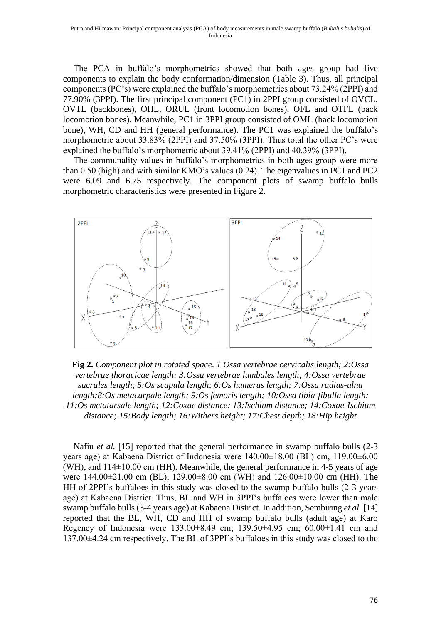The PCA in buffalo's morphometrics showed that both ages group had five components to explain the body conformation/dimension (Table 3). Thus, all principal components (PC's) were explained the buffalo's morphometrics about 73.24% (2PPI) and 77.90% (3PPI). The first principal component (PC1) in 2PPI group consisted of OVCL, OVTL (backbones), OHL, ORUL (front locomotion bones), OFL and OTFL (back locomotion bones). Meanwhile, PC1 in 3PPI group consisted of OML (back locomotion bone), WH, CD and HH (general performance). The PC1 was explained the buffalo's morphometric about 33.83% (2PPI) and 37.50% (3PPI). Thus total the other PC's were explained the buffalo's morphometric about 39.41% (2PPI) and 40.39% (3PPI).

The communality values in buffalo's morphometrics in both ages group were more than 0.50 (high) and with similar KMO's values (0.24). The eigenvalues in PC1 and PC2 were 6.09 and 6.75 respectively. The component plots of swamp buffalo bulls morphometric characteristics were presented in Figure 2.



**Fig 2.** *Component plot in rotated space. 1 Ossa vertebrae cervicalis length; 2:Ossa vertebrae thoracicae length; 3:Ossa vertebrae lumbales length; 4:Ossa vertebrae sacrales length; 5:Os scapula length; 6:Os humerus length; 7:Ossa radius-ulna length;8:Os metacarpale length; 9:Os femoris length; 10:Ossa tibia-fibulla length; 11:Os metatarsale length; 12:Coxae distance; 13:Ischium distance; 14:Coxae-Ischium distance; 15:Body length; 16:Withers height; 17:Chest depth; 18:Hip height*

Nafiu *et al.* [15] reported that the general performance in swamp buffalo bulls (2-3 years age) at Kabaena District of Indonesia were 140.00±18.00 (BL) cm, 119.00±6.00 (WH), and  $114\pm10.00$  cm (HH). Meanwhile, the general performance in 4-5 years of age were 144.00±21.00 cm (BL), 129.00±8.00 cm (WH) and 126.00±10.00 cm (HH). The HH of 2PPI's buffaloes in this study was closed to the swamp buffalo bulls (2-3 years age) at Kabaena District. Thus, BL and WH in 3PPI's buffaloes were lower than male swamp buffalo bulls (3-4 years age) at Kabaena District. In addition, Sembiring *et al.* [14] reported that the BL, WH, CD and HH of swamp buffalo bulls (adult age) at Karo Regency of Indonesia were 133.00±8.49 cm; 139.50±4.95 cm; 60.00±1.41 cm and 137.00±4.24 cm respectively. The BL of 3PPI's buffaloes in this study was closed to the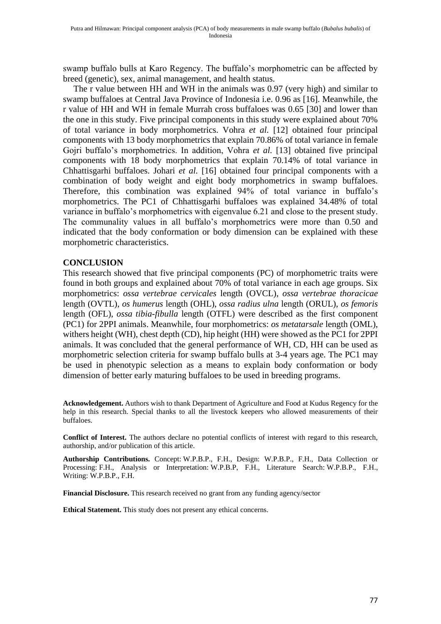swamp buffalo bulls at Karo Regency. The buffalo's morphometric can be affected by breed (genetic), sex, animal management, and health status.

The r value between HH and WH in the animals was 0.97 (very high) and similar to swamp buffaloes at Central Java Province of Indonesia i.e. 0.96 as [16]. Meanwhile, the r value of HH and WH in female Murrah cross buffaloes was 0.65 [30] and lower than the one in this study. Five principal components in this study were explained about 70% of total variance in body morphometrics. Vohra *et al.* [12] obtained four principal components with 13 body morphometrics that explain 70.86% of total variance in female Gojri buffalo's morphometrics. In addition, Vohra *et al.* [13] obtained five principal components with 18 body morphometrics that explain 70.14% of total variance in Chhattisgarhi buffaloes. Johari *et al.* [16] obtained four principal components with a combination of body weight and eight body morphometrics in swamp buffaloes. Therefore, this combination was explained 94% of total variance in buffalo's morphometrics. The PC1 of Chhattisgarhi buffaloes was explained 34.48% of total variance in buffalo's morphometrics with eigenvalue 6.21 and close to the present study. The communality values in all buffalo's morphometrics were more than 0.50 and indicated that the body conformation or body dimension can be explained with these morphometric characteristics.

## **CONCLUSION**

This research showed that five principal components (PC) of morphometric traits were found in both groups and explained about 70% of total variance in each age groups. Six morphometrics: *ossa vertebrae cervicales* length (OVCL), *ossa vertebrae thoracicae*  length (OVTL), *os humerus* length (OHL), *ossa radius ulna* length (ORUL), *os femoris*  length (OFL), *ossa tibia-fibulla* length (OTFL) were described as the first component (PC1) for 2PPI animals. Meanwhile, four morphometrics: *os metatarsale* length (OML), withers height (WH), chest depth (CD), hip height (HH) were showed as the PC1 for 2PPI animals. It was concluded that the general performance of WH, CD, HH can be used as morphometric selection criteria for swamp buffalo bulls at 3-4 years age. The PC1 may be used in phenotypic selection as a means to explain body conformation or body dimension of better early maturing buffaloes to be used in breeding programs.

**Acknowledgement.** Authors wish to thank Department of Agriculture and Food at Kudus Regency for the help in this research. Special thanks to all the livestock keepers who allowed measurements of their buffaloes.

**Conflict of Interest.** The authors declare no potential conflicts of interest with regard to this research, authorship, and/or publication of this article.

**Authorship Contributions.** Concept: W.P.B.P., F.H., Design: W.P.B.P., F.H., Data Collection or Processing: F.H., Analysis or Interpretation: W.P.B.P, F.H., Literature Search: W.P.B.P., F.H., Writing: W.P.B.P., F.H.

**Financial Disclosure.** This research received no grant from any funding agency/sector

**Ethical Statement.** This study does not present any ethical concerns.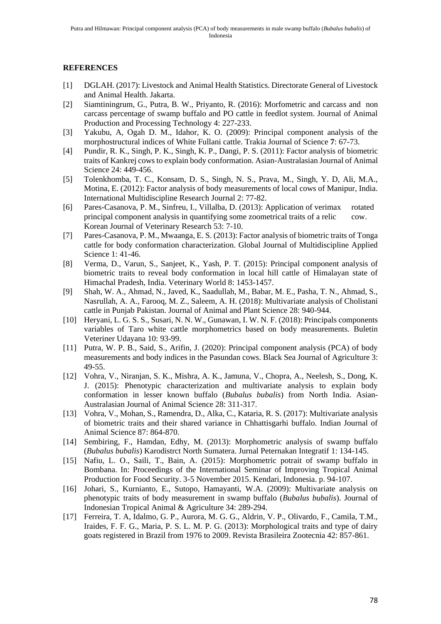#### **REFERENCES**

- [1] DGLAH. (2017): Livestock and Animal Health Statistics. Directorate General of Livestock and Animal Health. Jakarta.
- [2] Siamtiningrum, G., Putra, B. W., Priyanto, R. (2016): Morfometric and carcass and non carcass percentage of swamp buffalo and PO cattle in feedlot system. Journal of Animal Production and Processing Technology 4: 227-233.
- [3] Yakubu, A, Ogah D. M., Idahor, K. O. (2009): Principal component analysis of the morphostructural indices of White Fullani cattle. Trakia Journal of Science **7**: 67-73.
- [4] Pundir, R. K., Singh, P. K., Singh, K. P., Dangi, P. S. (2011): Factor analysis of biometric traits of Kankrej cows to explain body conformation. Asian-Australasian Journal of Animal Science 24: 449-456.
- [5] Tolenkhomba, T. C., Konsam, D. S., Singh, N. S., Prava, M., Singh, Y. D, Ali, M.A., Motina, E. (2012): Factor analysis of body measurements of local cows of Manipur, India. International Multidiscipline Research Journal 2: 77-82.
- [6] Pares-Casanova, P. M., Sinfreu, I., Villalba, D. (2013): Application of verimax rotated principal component analysis in quantifying some zoometrical traits of a relic cow. Korean Journal of Veterinary Research 53: 7-10.
- [7] Pares-Casanova, P. M., Mwaanga, E. S. (2013): Factor analysis of biometric traits of Tonga cattle for body conformation characterization. Global Journal of Multidiscipline Applied Science 1: 41-46.
- [8] Verma, D., Varun, S., Sanjeet, K., Yash, P. T. (2015): Principal component analysis of biometric traits to reveal body conformation in local hill cattle of Himalayan state of Himachal Pradesh, India. Veterinary World 8: 1453-1457.
- [9] Shah, W. A., Ahmad, N., Javed, K., Saadullah, M., Babar, M. E., Pasha, T. N., Ahmad, S., Nasrullah, A. A., Farooq, M. Z., Saleem, A. H. (2018): Multivariate analysis of Cholistani cattle in Punjab Pakistan. Journal of Animal and Plant Science 28: 940-944.
- [10] Heryani, L. G. S. S., Susari, N. N. W., Gunawan, I. W. N. F. (2018): Principals components variables of Taro white cattle morphometrics based on body measurements. Buletin Veteriner Udayana 10: 93-99.
- [11] Putra, W. P. B., Said, S., Arifin, J. (2020): Principal component analysis (PCA) of body measurements and body indices in the Pasundan cows. Black Sea Journal of Agriculture 3: 49-55.
- [12] Vohra, V., Niranjan, S. K., Mishra, A. K., Jamuna, V., Chopra, A., Neelesh, S., Dong, K. J. (2015): Phenotypic characterization and multivariate analysis to explain body conformation in lesser known buffalo (*Bubalus bubalis*) from North India. Asian-Australasian Journal of Animal Science 28: 311-317.
- [13] Vohra, V., Mohan, S., Ramendra, D., Alka, C., Kataria, R. S. (2017): Multivariate analysis of biometric traits and their shared variance in Chhattisgarhi buffalo. Indian Journal of Animal Science 87: 864-870.
- [14] Sembiring, F., Hamdan, Edhy, M. (2013): Morphometric analysis of swamp buffalo (*Bubalus bubalis*) Karodistrct North Sumatera. Jurnal Peternakan Integratif 1: 134-145.
- [15] Nafiu, L. O., Saili, T., Bain, A. (2015): Morphometric potrait of swamp buffalo in Bombana. In: Proceedings of the International Seminar of Improving Tropical Animal Production for Food Security. 3-5 November 2015. Kendari, Indonesia. p. 94-107.
- [16] Johari, S., Kurnianto, E., Sutopo, Hamayanti, W.A. (2009): Multivariate analysis on phenotypic traits of body measurement in swamp buffalo (*Bubalus bubalis*). Journal of Indonesian Tropical Animal & Agriculture 34: 289-294.
- [17] Ferreira, T. A, Idalmo, G. P., Aurora, M. G. G., Aldrin, V. P., Olivardo, F., Camila, T.M., Iraides, F. F. G., Maria, P. S. L. M. P. G. (2013): Morphological traits and type of dairy goats registered in Brazil from 1976 to 2009. Revista Brasileira Zootecnia 42: 857-861.